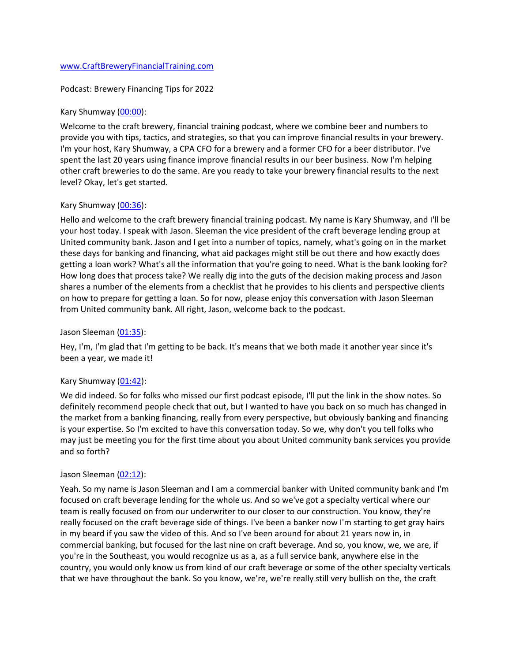### [www.CraftBreweryFinancialTraining.com](http://www.craftbreweryfinancialtraining.com/)

### Podcast: Brewery Financing Tips for 2022

### Kary Shumway [\(00:00\)](https://www.temi.com/editor/t/spy4fWdecnQBK6wZ0in3eyE89vQhb_onzbwhGHzKolczY5DwXBC7gtC7xjBFSeWkPNip7c9idcwBRyMBERQAbb1Qw5Y?loadFrom=DocumentDeeplink&ts=0.81):

Welcome to the craft brewery, financial training podcast, where we combine beer and numbers to provide you with tips, tactics, and strategies, so that you can improve financial results in your brewery. I'm your host, Kary Shumway, a CPA CFO for a brewery and a former CFO for a beer distributor. I've spent the last 20 years using finance improve financial results in our beer business. Now I'm helping other craft breweries to do the same. Are you ready to take your brewery financial results to the next level? Okay, let's get started.

### Kary Shumway [\(00:36\)](https://www.temi.com/editor/t/spy4fWdecnQBK6wZ0in3eyE89vQhb_onzbwhGHzKolczY5DwXBC7gtC7xjBFSeWkPNip7c9idcwBRyMBERQAbb1Qw5Y?loadFrom=DocumentDeeplink&ts=36.38):

Hello and welcome to the craft brewery financial training podcast. My name is Kary Shumway, and I'll be your host today. I speak with Jason. Sleeman the vice president of the craft beverage lending group at United community bank. Jason and I get into a number of topics, namely, what's going on in the market these days for banking and financing, what aid packages might still be out there and how exactly does getting a loan work? What's all the information that you're going to need. What is the bank looking for? How long does that process take? We really dig into the guts of the decision making process and Jason shares a number of the elements from a checklist that he provides to his clients and perspective clients on how to prepare for getting a loan. So for now, please enjoy this conversation with Jason Sleeman from United community bank. All right, Jason, welcome back to the podcast.

### Jason Sleeman [\(01:35\)](https://www.temi.com/editor/t/spy4fWdecnQBK6wZ0in3eyE89vQhb_onzbwhGHzKolczY5DwXBC7gtC7xjBFSeWkPNip7c9idcwBRyMBERQAbb1Qw5Y?loadFrom=DocumentDeeplink&ts=95.88):

Hey, I'm, I'm glad that I'm getting to be back. It's means that we both made it another year since it's been a year, we made it!

## Kary Shumway [\(01:42\)](https://www.temi.com/editor/t/spy4fWdecnQBK6wZ0in3eyE89vQhb_onzbwhGHzKolczY5DwXBC7gtC7xjBFSeWkPNip7c9idcwBRyMBERQAbb1Qw5Y?loadFrom=DocumentDeeplink&ts=102.1):

We did indeed. So for folks who missed our first podcast episode, I'll put the link in the show notes. So definitely recommend people check that out, but I wanted to have you back on so much has changed in the market from a banking financing, really from every perspective, but obviously banking and financing is your expertise. So I'm excited to have this conversation today. So we, why don't you tell folks who may just be meeting you for the first time about you about United community bank services you provide and so forth?

### Jason Sleeman [\(02:12\)](https://www.temi.com/editor/t/spy4fWdecnQBK6wZ0in3eyE89vQhb_onzbwhGHzKolczY5DwXBC7gtC7xjBFSeWkPNip7c9idcwBRyMBERQAbb1Qw5Y?loadFrom=DocumentDeeplink&ts=132.21):

Yeah. So my name is Jason Sleeman and I am a commercial banker with United community bank and I'm focused on craft beverage lending for the whole us. And so we've got a specialty vertical where our team is really focused on from our underwriter to our closer to our construction. You know, they're really focused on the craft beverage side of things. I've been a banker now I'm starting to get gray hairs in my beard if you saw the video of this. And so I've been around for about 21 years now in, in commercial banking, but focused for the last nine on craft beverage. And so, you know, we, we are, if you're in the Southeast, you would recognize us as a, as a full service bank, anywhere else in the country, you would only know us from kind of our craft beverage or some of the other specialty verticals that we have throughout the bank. So you know, we're, we're really still very bullish on the, the craft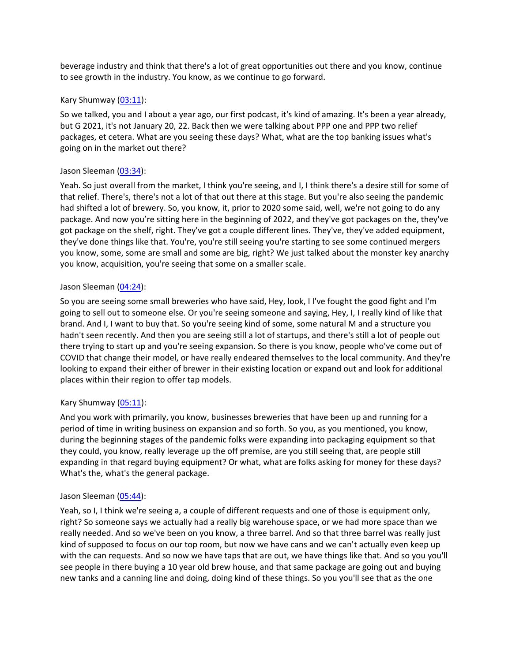beverage industry and think that there's a lot of great opportunities out there and you know, continue to see growth in the industry. You know, as we continue to go forward.

## Kary Shumway [\(03:11\)](https://www.temi.com/editor/t/spy4fWdecnQBK6wZ0in3eyE89vQhb_onzbwhGHzKolczY5DwXBC7gtC7xjBFSeWkPNip7c9idcwBRyMBERQAbb1Qw5Y?loadFrom=DocumentDeeplink&ts=191.03):

So we talked, you and I about a year ago, our first podcast, it's kind of amazing. It's been a year already, but G 2021, it's not January 20, 22. Back then we were talking about PPP one and PPP two relief packages, et cetera. What are you seeing these days? What, what are the top banking issues what's going on in the market out there?

# Jason Sleeman [\(03:34\)](https://www.temi.com/editor/t/spy4fWdecnQBK6wZ0in3eyE89vQhb_onzbwhGHzKolczY5DwXBC7gtC7xjBFSeWkPNip7c9idcwBRyMBERQAbb1Qw5Y?loadFrom=DocumentDeeplink&ts=214.53):

Yeah. So just overall from the market, I think you're seeing, and I, I think there's a desire still for some of that relief. There's, there's not a lot of that out there at this stage. But you're also seeing the pandemic had shifted a lot of brewery. So, you know, it, prior to 2020 some said, well, we're not going to do any package. And now you're sitting here in the beginning of 2022, and they've got packages on the, they've got package on the shelf, right. They've got a couple different lines. They've, they've added equipment, they've done things like that. You're, you're still seeing you're starting to see some continued mergers you know, some, some are small and some are big, right? We just talked about the monster key anarchy you know, acquisition, you're seeing that some on a smaller scale.

## Jason Sleeman [\(04:24\)](https://www.temi.com/editor/t/spy4fWdecnQBK6wZ0in3eyE89vQhb_onzbwhGHzKolczY5DwXBC7gtC7xjBFSeWkPNip7c9idcwBRyMBERQAbb1Qw5Y?loadFrom=DocumentDeeplink&ts=264.68):

So you are seeing some small breweries who have said, Hey, look, I I've fought the good fight and I'm going to sell out to someone else. Or you're seeing someone and saying, Hey, I, I really kind of like that brand. And I, I want to buy that. So you're seeing kind of some, some natural M and a structure you hadn't seen recently. And then you are seeing still a lot of startups, and there's still a lot of people out there trying to start up and you're seeing expansion. So there is you know, people who've come out of COVID that change their model, or have really endeared themselves to the local community. And they're looking to expand their either of brewer in their existing location or expand out and look for additional places within their region to offer tap models.

## Kary Shumway [\(05:11\)](https://www.temi.com/editor/t/spy4fWdecnQBK6wZ0in3eyE89vQhb_onzbwhGHzKolczY5DwXBC7gtC7xjBFSeWkPNip7c9idcwBRyMBERQAbb1Qw5Y?loadFrom=DocumentDeeplink&ts=311.46):

And you work with primarily, you know, businesses breweries that have been up and running for a period of time in writing business on expansion and so forth. So you, as you mentioned, you know, during the beginning stages of the pandemic folks were expanding into packaging equipment so that they could, you know, really leverage up the off premise, are you still seeing that, are people still expanding in that regard buying equipment? Or what, what are folks asking for money for these days? What's the, what's the general package.

## Jason Sleeman [\(05:44\)](https://www.temi.com/editor/t/spy4fWdecnQBK6wZ0in3eyE89vQhb_onzbwhGHzKolczY5DwXBC7gtC7xjBFSeWkPNip7c9idcwBRyMBERQAbb1Qw5Y?loadFrom=DocumentDeeplink&ts=344.61):

Yeah, so I, I think we're seeing a, a couple of different requests and one of those is equipment only, right? So someone says we actually had a really big warehouse space, or we had more space than we really needed. And so we've been on you know, a three barrel. And so that three barrel was really just kind of supposed to focus on our top room, but now we have cans and we can't actually even keep up with the can requests. And so now we have taps that are out, we have things like that. And so you you'll see people in there buying a 10 year old brew house, and that same package are going out and buying new tanks and a canning line and doing, doing kind of these things. So you you'll see that as the one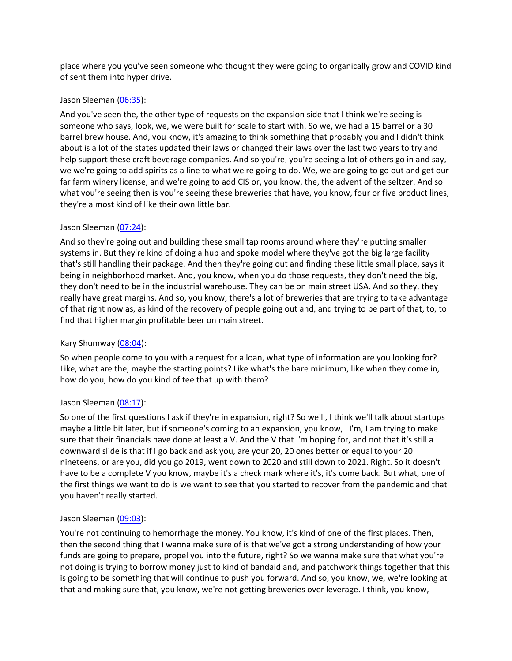place where you you've seen someone who thought they were going to organically grow and COVID kind of sent them into hyper drive.

### Jason Sleeman [\(06:35\)](https://www.temi.com/editor/t/spy4fWdecnQBK6wZ0in3eyE89vQhb_onzbwhGHzKolczY5DwXBC7gtC7xjBFSeWkPNip7c9idcwBRyMBERQAbb1Qw5Y?loadFrom=DocumentDeeplink&ts=395.65):

And you've seen the, the other type of requests on the expansion side that I think we're seeing is someone who says, look, we, we were built for scale to start with. So we, we had a 15 barrel or a 30 barrel brew house. And, you know, it's amazing to think something that probably you and I didn't think about is a lot of the states updated their laws or changed their laws over the last two years to try and help support these craft beverage companies. And so you're, you're seeing a lot of others go in and say, we we're going to add spirits as a line to what we're going to do. We, we are going to go out and get our far farm winery license, and we're going to add CIS or, you know, the, the advent of the seltzer. And so what you're seeing then is you're seeing these breweries that have, you know, four or five product lines, they're almost kind of like their own little bar.

## Jason Sleeman [\(07:24\)](https://www.temi.com/editor/t/spy4fWdecnQBK6wZ0in3eyE89vQhb_onzbwhGHzKolczY5DwXBC7gtC7xjBFSeWkPNip7c9idcwBRyMBERQAbb1Qw5Y?loadFrom=DocumentDeeplink&ts=444.521):

And so they're going out and building these small tap rooms around where they're putting smaller systems in. But they're kind of doing a hub and spoke model where they've got the big large facility that's still handling their package. And then they're going out and finding these little small place, says it being in neighborhood market. And, you know, when you do those requests, they don't need the big, they don't need to be in the industrial warehouse. They can be on main street USA. And so they, they really have great margins. And so, you know, there's a lot of breweries that are trying to take advantage of that right now as, as kind of the recovery of people going out and, and trying to be part of that, to, to find that higher margin profitable beer on main street.

## Kary Shumway [\(08:04\)](https://www.temi.com/editor/t/spy4fWdecnQBK6wZ0in3eyE89vQhb_onzbwhGHzKolczY5DwXBC7gtC7xjBFSeWkPNip7c9idcwBRyMBERQAbb1Qw5Y?loadFrom=DocumentDeeplink&ts=484.16):

So when people come to you with a request for a loan, what type of information are you looking for? Like, what are the, maybe the starting points? Like what's the bare minimum, like when they come in, how do you, how do you kind of tee that up with them?

## Jason Sleeman [\(08:17\)](https://www.temi.com/editor/t/spy4fWdecnQBK6wZ0in3eyE89vQhb_onzbwhGHzKolczY5DwXBC7gtC7xjBFSeWkPNip7c9idcwBRyMBERQAbb1Qw5Y?loadFrom=DocumentDeeplink&ts=497.6):

So one of the first questions I ask if they're in expansion, right? So we'll, I think we'll talk about startups maybe a little bit later, but if someone's coming to an expansion, you know, I I'm, I am trying to make sure that their financials have done at least a V. And the V that I'm hoping for, and not that it's still a downward slide is that if I go back and ask you, are your 20, 20 ones better or equal to your 20 nineteens, or are you, did you go 2019, went down to 2020 and still down to 2021. Right. So it doesn't have to be a complete V you know, maybe it's a check mark where it's, it's come back. But what, one of the first things we want to do is we want to see that you started to recover from the pandemic and that you haven't really started.

## Jason Sleeman [\(09:03\)](https://www.temi.com/editor/t/spy4fWdecnQBK6wZ0in3eyE89vQhb_onzbwhGHzKolczY5DwXBC7gtC7xjBFSeWkPNip7c9idcwBRyMBERQAbb1Qw5Y?loadFrom=DocumentDeeplink&ts=543.02):

You're not continuing to hemorrhage the money. You know, it's kind of one of the first places. Then, then the second thing that I wanna make sure of is that we've got a strong understanding of how your funds are going to prepare, propel you into the future, right? So we wanna make sure that what you're not doing is trying to borrow money just to kind of bandaid and, and patchwork things together that this is going to be something that will continue to push you forward. And so, you know, we, we're looking at that and making sure that, you know, we're not getting breweries over leverage. I think, you know,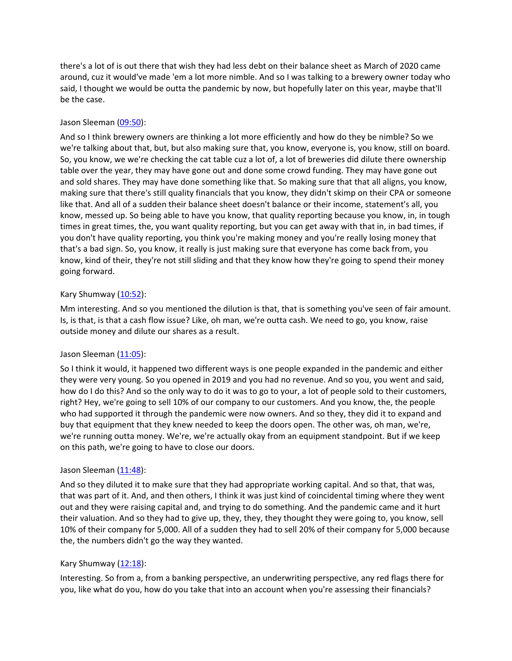there's a lot of is out there that wish they had less debt on their balance sheet as March of 2020 came around, cuz it would've made 'em a lot more nimble. And so I was talking to a brewery owner today who said, I thought we would be outta the pandemic by now, but hopefully later on this year, maybe that'll be the case.

## Jason Sleeman [\(09:50\)](https://www.temi.com/editor/t/spy4fWdecnQBK6wZ0in3eyE89vQhb_onzbwhGHzKolczY5DwXBC7gtC7xjBFSeWkPNip7c9idcwBRyMBERQAbb1Qw5Y?loadFrom=DocumentDeeplink&ts=590.49):

And so I think brewery owners are thinking a lot more efficiently and how do they be nimble? So we we're talking about that, but, but also making sure that, you know, everyone is, you know, still on board. So, you know, we we're checking the cat table cuz a lot of, a lot of breweries did dilute there ownership table over the year, they may have gone out and done some crowd funding. They may have gone out and sold shares. They may have done something like that. So making sure that that all aligns, you know, making sure that there's still quality financials that you know, they didn't skimp on their CPA or someone like that. And all of a sudden their balance sheet doesn't balance or their income, statement's all, you know, messed up. So being able to have you know, that quality reporting because you know, in, in tough times in great times, the, you want quality reporting, but you can get away with that in, in bad times, if you don't have quality reporting, you think you're making money and you're really losing money that that's a bad sign. So, you know, it really is just making sure that everyone has come back from, you know, kind of their, they're not still sliding and that they know how they're going to spend their money going forward.

# Kary Shumway [\(10:52\)](https://www.temi.com/editor/t/spy4fWdecnQBK6wZ0in3eyE89vQhb_onzbwhGHzKolczY5DwXBC7gtC7xjBFSeWkPNip7c9idcwBRyMBERQAbb1Qw5Y?loadFrom=DocumentDeeplink&ts=652.36):

Mm interesting. And so you mentioned the dilution is that, that is something you've seen of fair amount. Is, is that, is that a cash flow issue? Like, oh man, we're outta cash. We need to go, you know, raise outside money and dilute our shares as a result.

## Jason Sleeman [\(11:05\)](https://www.temi.com/editor/t/spy4fWdecnQBK6wZ0in3eyE89vQhb_onzbwhGHzKolczY5DwXBC7gtC7xjBFSeWkPNip7c9idcwBRyMBERQAbb1Qw5Y?loadFrom=DocumentDeeplink&ts=665.94):

So I think it would, it happened two different ways is one people expanded in the pandemic and either they were very young. So you opened in 2019 and you had no revenue. And so you, you went and said, how do I do this? And so the only way to do it was to go to your, a lot of people sold to their customers, right? Hey, we're going to sell 10% of our company to our customers. And you know, the, the people who had supported it through the pandemic were now owners. And so they, they did it to expand and buy that equipment that they knew needed to keep the doors open. The other was, oh man, we're, we're running outta money. We're, we're actually okay from an equipment standpoint. But if we keep on this path, we're going to have to close our doors.

## Jason Sleeman [\(11:48\)](https://www.temi.com/editor/t/spy4fWdecnQBK6wZ0in3eyE89vQhb_onzbwhGHzKolczY5DwXBC7gtC7xjBFSeWkPNip7c9idcwBRyMBERQAbb1Qw5Y?loadFrom=DocumentDeeplink&ts=708.661):

And so they diluted it to make sure that they had appropriate working capital. And so that, that was, that was part of it. And, and then others, I think it was just kind of coincidental timing where they went out and they were raising capital and, and trying to do something. And the pandemic came and it hurt their valuation. And so they had to give up, they, they, they thought they were going to, you know, sell 10% of their company for 5,000. All of a sudden they had to sell 20% of their company for 5,000 because the, the numbers didn't go the way they wanted.

## Kary Shumway  $(12:18)$ :

Interesting. So from a, from a banking perspective, an underwriting perspective, any red flags there for you, like what do you, how do you take that into an account when you're assessing their financials?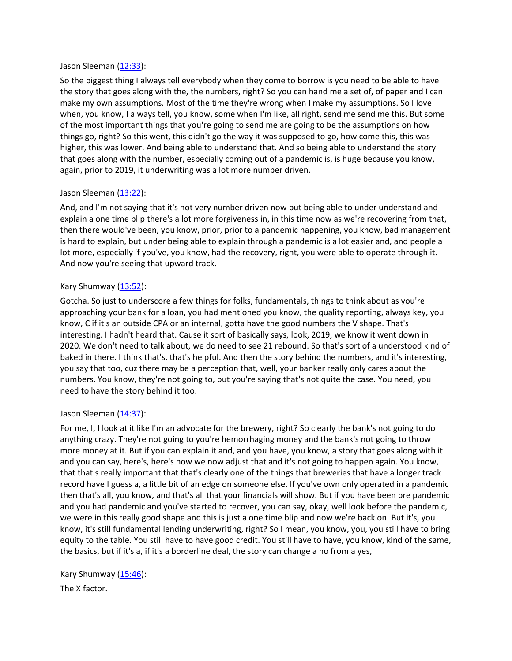### Jason Sleeman [\(12:33\)](https://www.temi.com/editor/t/spy4fWdecnQBK6wZ0in3eyE89vQhb_onzbwhGHzKolczY5DwXBC7gtC7xjBFSeWkPNip7c9idcwBRyMBERQAbb1Qw5Y?loadFrom=DocumentDeeplink&ts=753.17):

So the biggest thing I always tell everybody when they come to borrow is you need to be able to have the story that goes along with the, the numbers, right? So you can hand me a set of, of paper and I can make my own assumptions. Most of the time they're wrong when I make my assumptions. So I love when, you know, I always tell, you know, some when I'm like, all right, send me send me this. But some of the most important things that you're going to send me are going to be the assumptions on how things go, right? So this went, this didn't go the way it was supposed to go, how come this, this was higher, this was lower. And being able to understand that. And so being able to understand the story that goes along with the number, especially coming out of a pandemic is, is huge because you know, again, prior to 2019, it underwriting was a lot more number driven.

# Jason Sleeman [\(13:22\)](https://www.temi.com/editor/t/spy4fWdecnQBK6wZ0in3eyE89vQhb_onzbwhGHzKolczY5DwXBC7gtC7xjBFSeWkPNip7c9idcwBRyMBERQAbb1Qw5Y?loadFrom=DocumentDeeplink&ts=802.23):

And, and I'm not saying that it's not very number driven now but being able to under understand and explain a one time blip there's a lot more forgiveness in, in this time now as we're recovering from that, then there would've been, you know, prior, prior to a pandemic happening, you know, bad management is hard to explain, but under being able to explain through a pandemic is a lot easier and, and people a lot more, especially if you've, you know, had the recovery, right, you were able to operate through it. And now you're seeing that upward track.

## Kary Shumway [\(13:52\)](https://www.temi.com/editor/t/spy4fWdecnQBK6wZ0in3eyE89vQhb_onzbwhGHzKolczY5DwXBC7gtC7xjBFSeWkPNip7c9idcwBRyMBERQAbb1Qw5Y?loadFrom=DocumentDeeplink&ts=832.96):

Gotcha. So just to underscore a few things for folks, fundamentals, things to think about as you're approaching your bank for a loan, you had mentioned you know, the quality reporting, always key, you know, C if it's an outside CPA or an internal, gotta have the good numbers the V shape. That's interesting. I hadn't heard that. Cause it sort of basically says, look, 2019, we know it went down in 2020. We don't need to talk about, we do need to see 21 rebound. So that's sort of a understood kind of baked in there. I think that's, that's helpful. And then the story behind the numbers, and it's interesting, you say that too, cuz there may be a perception that, well, your banker really only cares about the numbers. You know, they're not going to, but you're saying that's not quite the case. You need, you need to have the story behind it too.

## Jason Sleeman [\(14:37\)](https://www.temi.com/editor/t/spy4fWdecnQBK6wZ0in3eyE89vQhb_onzbwhGHzKolczY5DwXBC7gtC7xjBFSeWkPNip7c9idcwBRyMBERQAbb1Qw5Y?loadFrom=DocumentDeeplink&ts=877.39):

For me, I, I look at it like I'm an advocate for the brewery, right? So clearly the bank's not going to do anything crazy. They're not going to you're hemorrhaging money and the bank's not going to throw more money at it. But if you can explain it and, and you have, you know, a story that goes along with it and you can say, here's, here's how we now adjust that and it's not going to happen again. You know, that that's really important that that's clearly one of the things that breweries that have a longer track record have I guess a, a little bit of an edge on someone else. If you've own only operated in a pandemic then that's all, you know, and that's all that your financials will show. But if you have been pre pandemic and you had pandemic and you've started to recover, you can say, okay, well look before the pandemic, we were in this really good shape and this is just a one time blip and now we're back on. But it's, you know, it's still fundamental lending underwriting, right? So I mean, you know, you, you still have to bring equity to the table. You still have to have good credit. You still have to have, you know, kind of the same, the basics, but if it's a, if it's a borderline deal, the story can change a no from a yes,

Kary Shumway [\(15:46\)](https://www.temi.com/editor/t/spy4fWdecnQBK6wZ0in3eyE89vQhb_onzbwhGHzKolczY5DwXBC7gtC7xjBFSeWkPNip7c9idcwBRyMBERQAbb1Qw5Y?loadFrom=DocumentDeeplink&ts=946.63):

The X factor.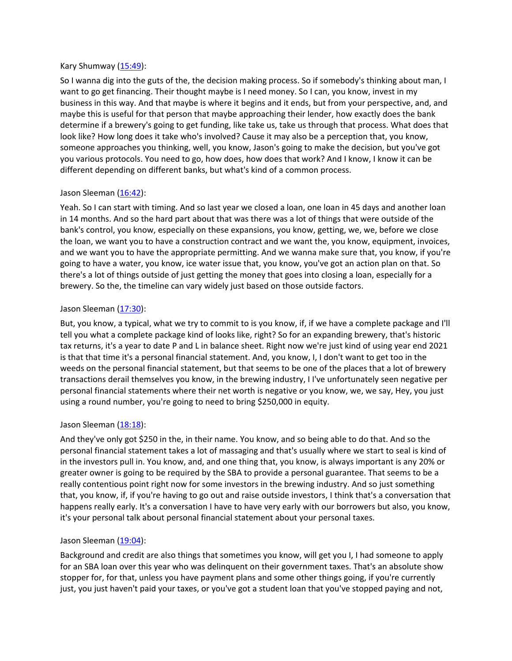### Kary Shumway [\(15:49\)](https://www.temi.com/editor/t/spy4fWdecnQBK6wZ0in3eyE89vQhb_onzbwhGHzKolczY5DwXBC7gtC7xjBFSeWkPNip7c9idcwBRyMBERQAbb1Qw5Y?loadFrom=DocumentDeeplink&ts=949.65):

So I wanna dig into the guts of the, the decision making process. So if somebody's thinking about man, I want to go get financing. Their thought maybe is I need money. So I can, you know, invest in my business in this way. And that maybe is where it begins and it ends, but from your perspective, and, and maybe this is useful for that person that maybe approaching their lender, how exactly does the bank determine if a brewery's going to get funding, like take us, take us through that process. What does that look like? How long does it take who's involved? Cause it may also be a perception that, you know, someone approaches you thinking, well, you know, Jason's going to make the decision, but you've got you various protocols. You need to go, how does, how does that work? And I know, I know it can be different depending on different banks, but what's kind of a common process.

## Jason Sleeman [\(16:42\)](https://www.temi.com/editor/t/spy4fWdecnQBK6wZ0in3eyE89vQhb_onzbwhGHzKolczY5DwXBC7gtC7xjBFSeWkPNip7c9idcwBRyMBERQAbb1Qw5Y?loadFrom=DocumentDeeplink&ts=1002.32):

Yeah. So I can start with timing. And so last year we closed a loan, one loan in 45 days and another loan in 14 months. And so the hard part about that was there was a lot of things that were outside of the bank's control, you know, especially on these expansions, you know, getting, we, we, before we close the loan, we want you to have a construction contract and we want the, you know, equipment, invoices, and we want you to have the appropriate permitting. And we wanna make sure that, you know, if you're going to have a water, you know, ice water issue that, you know, you've got an action plan on that. So there's a lot of things outside of just getting the money that goes into closing a loan, especially for a brewery. So the, the timeline can vary widely just based on those outside factors.

### Jason Sleeman [\(17:30\)](https://www.temi.com/editor/t/spy4fWdecnQBK6wZ0in3eyE89vQhb_onzbwhGHzKolczY5DwXBC7gtC7xjBFSeWkPNip7c9idcwBRyMBERQAbb1Qw5Y?loadFrom=DocumentDeeplink&ts=1050.01):

But, you know, a typical, what we try to commit to is you know, if, if we have a complete package and I'll tell you what a complete package kind of looks like, right? So for an expanding brewery, that's historic tax returns, it's a year to date P and L in balance sheet. Right now we're just kind of using year end 2021 is that that time it's a personal financial statement. And, you know, I, I don't want to get too in the weeds on the personal financial statement, but that seems to be one of the places that a lot of brewery transactions derail themselves you know, in the brewing industry, I I've unfortunately seen negative per personal financial statements where their net worth is negative or you know, we, we say, Hey, you just using a round number, you're going to need to bring \$250,000 in equity.

### Jason Sleeman [\(18:18\)](https://www.temi.com/editor/t/spy4fWdecnQBK6wZ0in3eyE89vQhb_onzbwhGHzKolczY5DwXBC7gtC7xjBFSeWkPNip7c9idcwBRyMBERQAbb1Qw5Y?loadFrom=DocumentDeeplink&ts=1098.53):

And they've only got \$250 in the, in their name. You know, and so being able to do that. And so the personal financial statement takes a lot of massaging and that's usually where we start to seal is kind of in the investors pull in. You know, and, and one thing that, you know, is always important is any 20% or greater owner is going to be required by the SBA to provide a personal guarantee. That seems to be a really contentious point right now for some investors in the brewing industry. And so just something that, you know, if, if you're having to go out and raise outside investors, I think that's a conversation that happens really early. It's a conversation I have to have very early with our borrowers but also, you know, it's your personal talk about personal financial statement about your personal taxes.

### Jason Sleeman [\(19:04\)](https://www.temi.com/editor/t/spy4fWdecnQBK6wZ0in3eyE89vQhb_onzbwhGHzKolczY5DwXBC7gtC7xjBFSeWkPNip7c9idcwBRyMBERQAbb1Qw5Y?loadFrom=DocumentDeeplink&ts=1144.54):

Background and credit are also things that sometimes you know, will get you I, I had someone to apply for an SBA loan over this year who was delinquent on their government taxes. That's an absolute show stopper for, for that, unless you have payment plans and some other things going, if you're currently just, you just haven't paid your taxes, or you've got a student loan that you've stopped paying and not,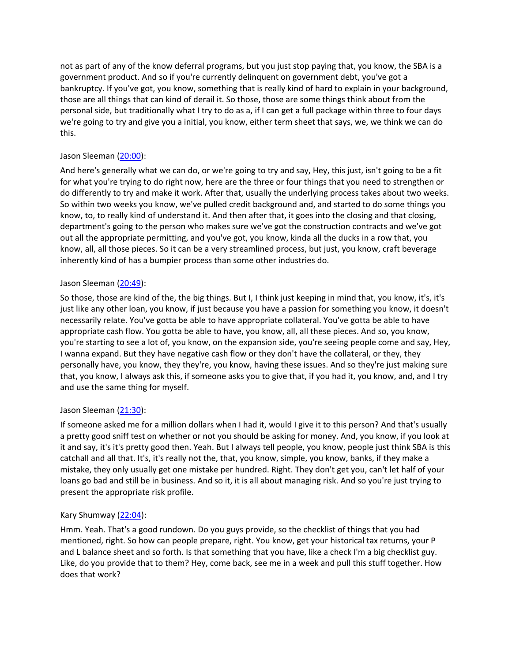not as part of any of the know deferral programs, but you just stop paying that, you know, the SBA is a government product. And so if you're currently delinquent on government debt, you've got a bankruptcy. If you've got, you know, something that is really kind of hard to explain in your background, those are all things that can kind of derail it. So those, those are some things think about from the personal side, but traditionally what I try to do as a, if I can get a full package within three to four days we're going to try and give you a initial, you know, either term sheet that says, we, we think we can do this.

# Jason Sleeman [\(20:00\)](https://www.temi.com/editor/t/spy4fWdecnQBK6wZ0in3eyE89vQhb_onzbwhGHzKolczY5DwXBC7gtC7xjBFSeWkPNip7c9idcwBRyMBERQAbb1Qw5Y?loadFrom=DocumentDeeplink&ts=1200.64):

And here's generally what we can do, or we're going to try and say, Hey, this just, isn't going to be a fit for what you're trying to do right now, here are the three or four things that you need to strengthen or do differently to try and make it work. After that, usually the underlying process takes about two weeks. So within two weeks you know, we've pulled credit background and, and started to do some things you know, to, to really kind of understand it. And then after that, it goes into the closing and that closing, department's going to the person who makes sure we've got the construction contracts and we've got out all the appropriate permitting, and you've got, you know, kinda all the ducks in a row that, you know, all, all those pieces. So it can be a very streamlined process, but just, you know, craft beverage inherently kind of has a bumpier process than some other industries do.

## Jason Sleeman [\(20:49\)](https://www.temi.com/editor/t/spy4fWdecnQBK6wZ0in3eyE89vQhb_onzbwhGHzKolczY5DwXBC7gtC7xjBFSeWkPNip7c9idcwBRyMBERQAbb1Qw5Y?loadFrom=DocumentDeeplink&ts=1249.18):

So those, those are kind of the, the big things. But I, I think just keeping in mind that, you know, it's, it's just like any other loan, you know, if just because you have a passion for something you know, it doesn't necessarily relate. You've gotta be able to have appropriate collateral. You've gotta be able to have appropriate cash flow. You gotta be able to have, you know, all, all these pieces. And so, you know, you're starting to see a lot of, you know, on the expansion side, you're seeing people come and say, Hey, I wanna expand. But they have negative cash flow or they don't have the collateral, or they, they personally have, you know, they they're, you know, having these issues. And so they're just making sure that, you know, I always ask this, if someone asks you to give that, if you had it, you know, and, and I try and use the same thing for myself.

## Jason Sleeman [\(21:30\)](https://www.temi.com/editor/t/spy4fWdecnQBK6wZ0in3eyE89vQhb_onzbwhGHzKolczY5DwXBC7gtC7xjBFSeWkPNip7c9idcwBRyMBERQAbb1Qw5Y?loadFrom=DocumentDeeplink&ts=1290.7):

If someone asked me for a million dollars when I had it, would I give it to this person? And that's usually a pretty good sniff test on whether or not you should be asking for money. And, you know, if you look at it and say, it's it's pretty good then. Yeah. But I always tell people, you know, people just think SBA is this catchall and all that. It's, it's really not the, that, you know, simple, you know, banks, if they make a mistake, they only usually get one mistake per hundred. Right. They don't get you, can't let half of your loans go bad and still be in business. And so it, it is all about managing risk. And so you're just trying to present the appropriate risk profile.

# Kary Shumway [\(22:04\)](https://www.temi.com/editor/t/spy4fWdecnQBK6wZ0in3eyE89vQhb_onzbwhGHzKolczY5DwXBC7gtC7xjBFSeWkPNip7c9idcwBRyMBERQAbb1Qw5Y?loadFrom=DocumentDeeplink&ts=1324.61):

Hmm. Yeah. That's a good rundown. Do you guys provide, so the checklist of things that you had mentioned, right. So how can people prepare, right. You know, get your historical tax returns, your P and L balance sheet and so forth. Is that something that you have, like a check I'm a big checklist guy. Like, do you provide that to them? Hey, come back, see me in a week and pull this stuff together. How does that work?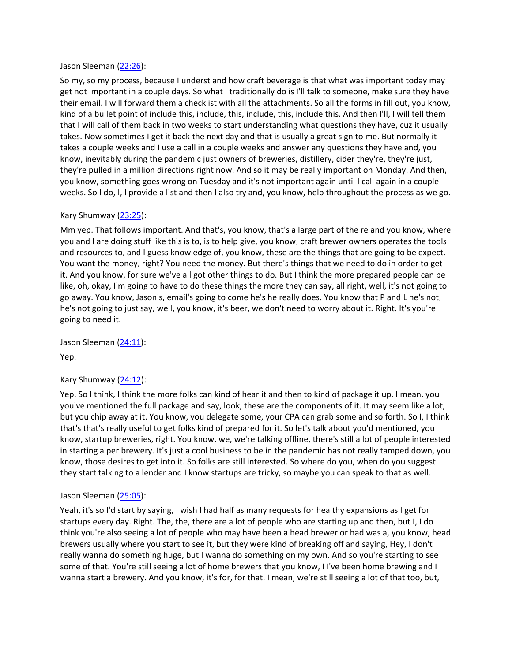### Jason Sleeman [\(22:26\)](https://www.temi.com/editor/t/spy4fWdecnQBK6wZ0in3eyE89vQhb_onzbwhGHzKolczY5DwXBC7gtC7xjBFSeWkPNip7c9idcwBRyMBERQAbb1Qw5Y?loadFrom=DocumentDeeplink&ts=1346.5):

So my, so my process, because I underst and how craft beverage is that what was important today may get not important in a couple days. So what I traditionally do is I'll talk to someone, make sure they have their email. I will forward them a checklist with all the attachments. So all the forms in fill out, you know, kind of a bullet point of include this, include, this, include, this, include this. And then I'll, I will tell them that I will call of them back in two weeks to start understanding what questions they have, cuz it usually takes. Now sometimes I get it back the next day and that is usually a great sign to me. But normally it takes a couple weeks and I use a call in a couple weeks and answer any questions they have and, you know, inevitably during the pandemic just owners of breweries, distillery, cider they're, they're just, they're pulled in a million directions right now. And so it may be really important on Monday. And then, you know, something goes wrong on Tuesday and it's not important again until I call again in a couple weeks. So I do, I, I provide a list and then I also try and, you know, help throughout the process as we go.

### Kary Shumway [\(23:25\)](https://www.temi.com/editor/t/spy4fWdecnQBK6wZ0in3eyE89vQhb_onzbwhGHzKolczY5DwXBC7gtC7xjBFSeWkPNip7c9idcwBRyMBERQAbb1Qw5Y?loadFrom=DocumentDeeplink&ts=1405.77):

Mm yep. That follows important. And that's, you know, that's a large part of the re and you know, where you and I are doing stuff like this is to, is to help give, you know, craft brewer owners operates the tools and resources to, and I guess knowledge of, you know, these are the things that are going to be expect. You want the money, right? You need the money. But there's things that we need to do in order to get it. And you know, for sure we've all got other things to do. But I think the more prepared people can be like, oh, okay, I'm going to have to do these things the more they can say, all right, well, it's not going to go away. You know, Jason's, email's going to come he's he really does. You know that P and L he's not, he's not going to just say, well, you know, it's beer, we don't need to worry about it. Right. It's you're going to need it.

Jason Sleeman [\(24:11\)](https://www.temi.com/editor/t/spy4fWdecnQBK6wZ0in3eyE89vQhb_onzbwhGHzKolczY5DwXBC7gtC7xjBFSeWkPNip7c9idcwBRyMBERQAbb1Qw5Y?loadFrom=DocumentDeeplink&ts=1451.59): Yep.

# Kary Shumway  $(24:12)$ :

Yep. So I think, I think the more folks can kind of hear it and then to kind of package it up. I mean, you you've mentioned the full package and say, look, these are the components of it. It may seem like a lot, but you chip away at it. You know, you delegate some, your CPA can grab some and so forth. So I, I think that's that's really useful to get folks kind of prepared for it. So let's talk about you'd mentioned, you know, startup breweries, right. You know, we, we're talking offline, there's still a lot of people interested in starting a per brewery. It's just a cool business to be in the pandemic has not really tamped down, you know, those desires to get into it. So folks are still interested. So where do you, when do you suggest they start talking to a lender and I know startups are tricky, so maybe you can speak to that as well.

### Jason Sleeman [\(25:05\)](https://www.temi.com/editor/t/spy4fWdecnQBK6wZ0in3eyE89vQhb_onzbwhGHzKolczY5DwXBC7gtC7xjBFSeWkPNip7c9idcwBRyMBERQAbb1Qw5Y?loadFrom=DocumentDeeplink&ts=1505.79):

Yeah, it's so I'd start by saying, I wish I had half as many requests for healthy expansions as I get for startups every day. Right. The, the, there are a lot of people who are starting up and then, but I, I do think you're also seeing a lot of people who may have been a head brewer or had was a, you know, head brewers usually where you start to see it, but they were kind of breaking off and saying, Hey, I don't really wanna do something huge, but I wanna do something on my own. And so you're starting to see some of that. You're still seeing a lot of home brewers that you know, I I've been home brewing and I wanna start a brewery. And you know, it's for, for that. I mean, we're still seeing a lot of that too, but,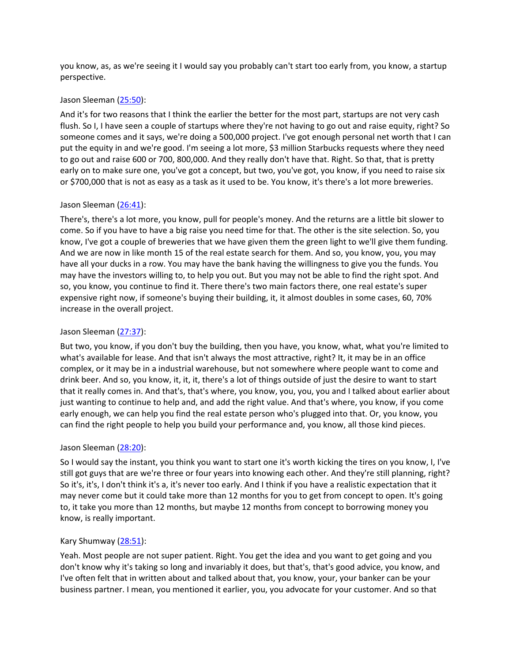you know, as, as we're seeing it I would say you probably can't start too early from, you know, a startup perspective.

### Jason Sleeman [\(25:50\)](https://www.temi.com/editor/t/spy4fWdecnQBK6wZ0in3eyE89vQhb_onzbwhGHzKolczY5DwXBC7gtC7xjBFSeWkPNip7c9idcwBRyMBERQAbb1Qw5Y?loadFrom=DocumentDeeplink&ts=1550.91):

And it's for two reasons that I think the earlier the better for the most part, startups are not very cash flush. So I, I have seen a couple of startups where they're not having to go out and raise equity, right? So someone comes and it says, we're doing a 500,000 project. I've got enough personal net worth that I can put the equity in and we're good. I'm seeing a lot more, \$3 million Starbucks requests where they need to go out and raise 600 or 700, 800,000. And they really don't have that. Right. So that, that is pretty early on to make sure one, you've got a concept, but two, you've got, you know, if you need to raise six or \$700,000 that is not as easy as a task as it used to be. You know, it's there's a lot more breweries.

## Jason Sleeman [\(26:41\)](https://www.temi.com/editor/t/spy4fWdecnQBK6wZ0in3eyE89vQhb_onzbwhGHzKolczY5DwXBC7gtC7xjBFSeWkPNip7c9idcwBRyMBERQAbb1Qw5Y?loadFrom=DocumentDeeplink&ts=1601.42):

There's, there's a lot more, you know, pull for people's money. And the returns are a little bit slower to come. So if you have to have a big raise you need time for that. The other is the site selection. So, you know, I've got a couple of breweries that we have given them the green light to we'll give them funding. And we are now in like month 15 of the real estate search for them. And so, you know, you, you may have all your ducks in a row. You may have the bank having the willingness to give you the funds. You may have the investors willing to, to help you out. But you may not be able to find the right spot. And so, you know, you continue to find it. There there's two main factors there, one real estate's super expensive right now, if someone's buying their building, it, it almost doubles in some cases, 60, 70% increase in the overall project.

## Jason Sleeman [\(27:37\)](https://www.temi.com/editor/t/spy4fWdecnQBK6wZ0in3eyE89vQhb_onzbwhGHzKolczY5DwXBC7gtC7xjBFSeWkPNip7c9idcwBRyMBERQAbb1Qw5Y?loadFrom=DocumentDeeplink&ts=1657.22):

But two, you know, if you don't buy the building, then you have, you know, what, what you're limited to what's available for lease. And that isn't always the most attractive, right? It, it may be in an office complex, or it may be in a industrial warehouse, but not somewhere where people want to come and drink beer. And so, you know, it, it, it, there's a lot of things outside of just the desire to want to start that it really comes in. And that's, that's where, you know, you, you, you and I talked about earlier about just wanting to continue to help and, and add the right value. And that's where, you know, if you come early enough, we can help you find the real estate person who's plugged into that. Or, you know, you can find the right people to help you build your performance and, you know, all those kind pieces.

## Jason Sleeman [\(28:20\)](https://www.temi.com/editor/t/spy4fWdecnQBK6wZ0in3eyE89vQhb_onzbwhGHzKolczY5DwXBC7gtC7xjBFSeWkPNip7c9idcwBRyMBERQAbb1Qw5Y?loadFrom=DocumentDeeplink&ts=1700.48):

So I would say the instant, you think you want to start one it's worth kicking the tires on you know, I, I've still got guys that are we're three or four years into knowing each other. And they're still planning, right? So it's, it's, I don't think it's a, it's never too early. And I think if you have a realistic expectation that it may never come but it could take more than 12 months for you to get from concept to open. It's going to, it take you more than 12 months, but maybe 12 months from concept to borrowing money you know, is really important.

## Kary Shumway [\(28:51\)](https://www.temi.com/editor/t/spy4fWdecnQBK6wZ0in3eyE89vQhb_onzbwhGHzKolczY5DwXBC7gtC7xjBFSeWkPNip7c9idcwBRyMBERQAbb1Qw5Y?loadFrom=DocumentDeeplink&ts=1731.55):

Yeah. Most people are not super patient. Right. You get the idea and you want to get going and you don't know why it's taking so long and invariably it does, but that's, that's good advice, you know, and I've often felt that in written about and talked about that, you know, your, your banker can be your business partner. I mean, you mentioned it earlier, you, you advocate for your customer. And so that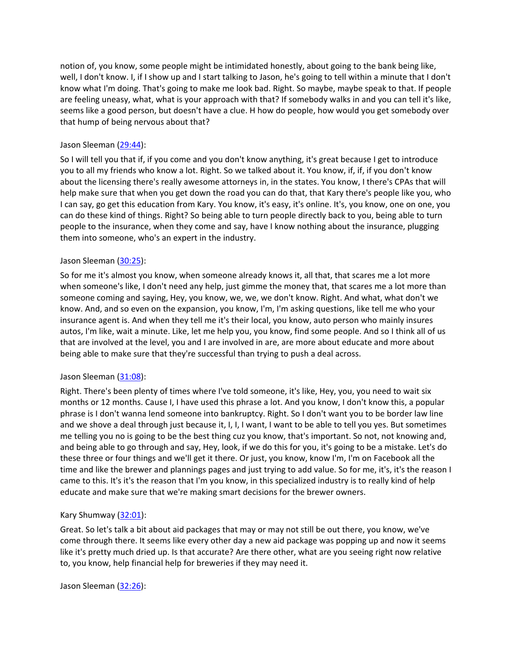notion of, you know, some people might be intimidated honestly, about going to the bank being like, well, I don't know. I, if I show up and I start talking to Jason, he's going to tell within a minute that I don't know what I'm doing. That's going to make me look bad. Right. So maybe, maybe speak to that. If people are feeling uneasy, what, what is your approach with that? If somebody walks in and you can tell it's like, seems like a good person, but doesn't have a clue. H how do people, how would you get somebody over that hump of being nervous about that?

## Jason Sleeman [\(29:44\)](https://www.temi.com/editor/t/spy4fWdecnQBK6wZ0in3eyE89vQhb_onzbwhGHzKolczY5DwXBC7gtC7xjBFSeWkPNip7c9idcwBRyMBERQAbb1Qw5Y?loadFrom=DocumentDeeplink&ts=1784.98):

So I will tell you that if, if you come and you don't know anything, it's great because I get to introduce you to all my friends who know a lot. Right. So we talked about it. You know, if, if, if you don't know about the licensing there's really awesome attorneys in, in the states. You know, I there's CPAs that will help make sure that when you get down the road you can do that, that Kary there's people like you, who I can say, go get this education from Kary. You know, it's easy, it's online. It's, you know, one on one, you can do these kind of things. Right? So being able to turn people directly back to you, being able to turn people to the insurance, when they come and say, have I know nothing about the insurance, plugging them into someone, who's an expert in the industry.

# Jason Sleeman [\(30:25\)](https://www.temi.com/editor/t/spy4fWdecnQBK6wZ0in3eyE89vQhb_onzbwhGHzKolczY5DwXBC7gtC7xjBFSeWkPNip7c9idcwBRyMBERQAbb1Qw5Y?loadFrom=DocumentDeeplink&ts=1825.12):

So for me it's almost you know, when someone already knows it, all that, that scares me a lot more when someone's like, I don't need any help, just gimme the money that, that scares me a lot more than someone coming and saying, Hey, you know, we, we, we don't know. Right. And what, what don't we know. And, and so even on the expansion, you know, I'm, I'm asking questions, like tell me who your insurance agent is. And when they tell me it's their local, you know, auto person who mainly insures autos, I'm like, wait a minute. Like, let me help you, you know, find some people. And so I think all of us that are involved at the level, you and I are involved in are, are more about educate and more about being able to make sure that they're successful than trying to push a deal across.

## Jason Sleeman [\(31:08\)](https://www.temi.com/editor/t/spy4fWdecnQBK6wZ0in3eyE89vQhb_onzbwhGHzKolczY5DwXBC7gtC7xjBFSeWkPNip7c9idcwBRyMBERQAbb1Qw5Y?loadFrom=DocumentDeeplink&ts=1868.48):

Right. There's been plenty of times where I've told someone, it's like, Hey, you, you need to wait six months or 12 months. Cause I, I have used this phrase a lot. And you know, I don't know this, a popular phrase is I don't wanna lend someone into bankruptcy. Right. So I don't want you to be border law line and we shove a deal through just because it, I, I, I want, I want to be able to tell you yes. But sometimes me telling you no is going to be the best thing cuz you know, that's important. So not, not knowing and, and being able to go through and say, Hey, look, if we do this for you, it's going to be a mistake. Let's do these three or four things and we'll get it there. Or just, you know, know I'm, I'm on Facebook all the time and like the brewer and plannings pages and just trying to add value. So for me, it's, it's the reason I came to this. It's it's the reason that I'm you know, in this specialized industry is to really kind of help educate and make sure that we're making smart decisions for the brewer owners.

## Kary Shumway [\(32:01\)](https://www.temi.com/editor/t/spy4fWdecnQBK6wZ0in3eyE89vQhb_onzbwhGHzKolczY5DwXBC7gtC7xjBFSeWkPNip7c9idcwBRyMBERQAbb1Qw5Y?loadFrom=DocumentDeeplink&ts=1921.52):

Great. So let's talk a bit about aid packages that may or may not still be out there, you know, we've come through there. It seems like every other day a new aid package was popping up and now it seems like it's pretty much dried up. Is that accurate? Are there other, what are you seeing right now relative to, you know, help financial help for breweries if they may need it.

Jason Sleeman [\(32:26\)](https://www.temi.com/editor/t/spy4fWdecnQBK6wZ0in3eyE89vQhb_onzbwhGHzKolczY5DwXBC7gtC7xjBFSeWkPNip7c9idcwBRyMBERQAbb1Qw5Y?loadFrom=DocumentDeeplink&ts=1946.92):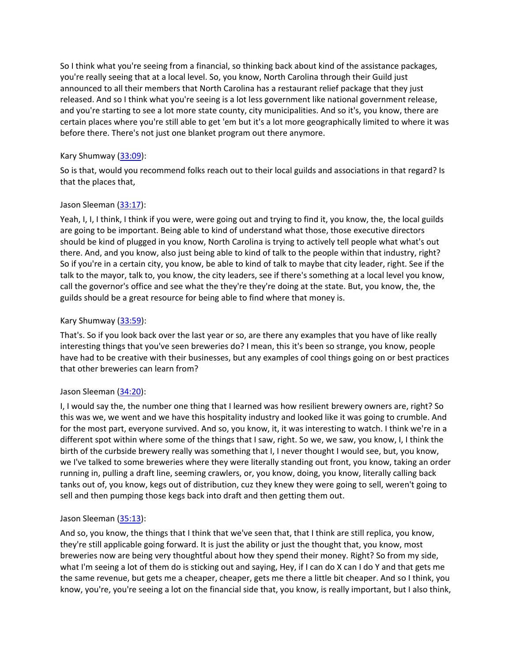So I think what you're seeing from a financial, so thinking back about kind of the assistance packages, you're really seeing that at a local level. So, you know, North Carolina through their Guild just announced to all their members that North Carolina has a restaurant relief package that they just released. And so I think what you're seeing is a lot less government like national government release, and you're starting to see a lot more state county, city municipalities. And so it's, you know, there are certain places where you're still able to get 'em but it's a lot more geographically limited to where it was before there. There's not just one blanket program out there anymore.

# Kary Shumway [\(33:09\)](https://www.temi.com/editor/t/spy4fWdecnQBK6wZ0in3eyE89vQhb_onzbwhGHzKolczY5DwXBC7gtC7xjBFSeWkPNip7c9idcwBRyMBERQAbb1Qw5Y?loadFrom=DocumentDeeplink&ts=1989.75):

So is that, would you recommend folks reach out to their local guilds and associations in that regard? Is that the places that,

# Jason Sleeman [\(33:17\)](https://www.temi.com/editor/t/spy4fWdecnQBK6wZ0in3eyE89vQhb_onzbwhGHzKolczY5DwXBC7gtC7xjBFSeWkPNip7c9idcwBRyMBERQAbb1Qw5Y?loadFrom=DocumentDeeplink&ts=1997.09):

Yeah, I, I, I think, I think if you were, were going out and trying to find it, you know, the, the local guilds are going to be important. Being able to kind of understand what those, those executive directors should be kind of plugged in you know, North Carolina is trying to actively tell people what what's out there. And, and you know, also just being able to kind of talk to the people within that industry, right? So if you're in a certain city, you know, be able to kind of talk to maybe that city leader, right. See if the talk to the mayor, talk to, you know, the city leaders, see if there's something at a local level you know, call the governor's office and see what the they're they're doing at the state. But, you know, the, the guilds should be a great resource for being able to find where that money is.

# Kary Shumway [\(33:59\)](https://www.temi.com/editor/t/spy4fWdecnQBK6wZ0in3eyE89vQhb_onzbwhGHzKolczY5DwXBC7gtC7xjBFSeWkPNip7c9idcwBRyMBERQAbb1Qw5Y?loadFrom=DocumentDeeplink&ts=2039.18):

That's. So if you look back over the last year or so, are there any examples that you have of like really interesting things that you've seen breweries do? I mean, this it's been so strange, you know, people have had to be creative with their businesses, but any examples of cool things going on or best practices that other breweries can learn from?

# Jason Sleeman [\(34:20\)](https://www.temi.com/editor/t/spy4fWdecnQBK6wZ0in3eyE89vQhb_onzbwhGHzKolczY5DwXBC7gtC7xjBFSeWkPNip7c9idcwBRyMBERQAbb1Qw5Y?loadFrom=DocumentDeeplink&ts=2060.33):

I, I would say the, the number one thing that I learned was how resilient brewery owners are, right? So this was we, we went and we have this hospitality industry and looked like it was going to crumble. And for the most part, everyone survived. And so, you know, it, it was interesting to watch. I think we're in a different spot within where some of the things that I saw, right. So we, we saw, you know, I, I think the birth of the curbside brewery really was something that I, I never thought I would see, but, you know, we I've talked to some breweries where they were literally standing out front, you know, taking an order running in, pulling a draft line, seeming crawlers, or, you know, doing, you know, literally calling back tanks out of, you know, kegs out of distribution, cuz they knew they were going to sell, weren't going to sell and then pumping those kegs back into draft and then getting them out.

## Jason Sleeman [\(35:13\)](https://www.temi.com/editor/t/spy4fWdecnQBK6wZ0in3eyE89vQhb_onzbwhGHzKolczY5DwXBC7gtC7xjBFSeWkPNip7c9idcwBRyMBERQAbb1Qw5Y?loadFrom=DocumentDeeplink&ts=2113.44):

And so, you know, the things that I think that we've seen that, that I think are still replica, you know, they're still applicable going forward. It is just the ability or just the thought that, you know, most breweries now are being very thoughtful about how they spend their money. Right? So from my side, what I'm seeing a lot of them do is sticking out and saying, Hey, if I can do X can I do Y and that gets me the same revenue, but gets me a cheaper, cheaper, gets me there a little bit cheaper. And so I think, you know, you're, you're seeing a lot on the financial side that, you know, is really important, but I also think,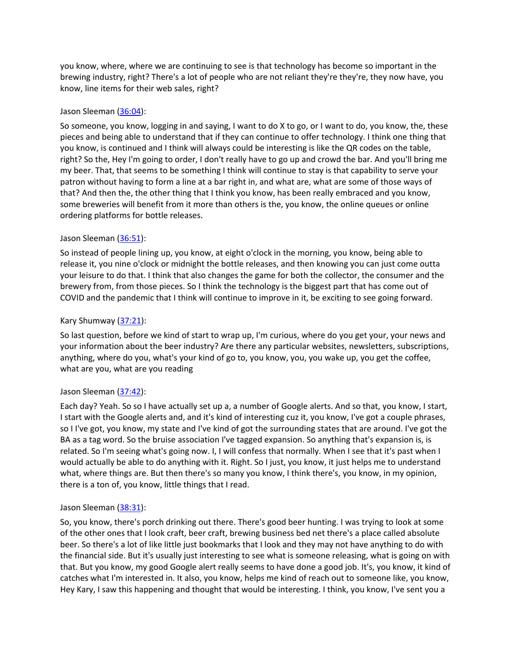you know, where, where we are continuing to see is that technology has become so important in the brewing industry, right? There's a lot of people who are not reliant they're they're, they now have, you know, line items for their web sales, right?

## Jason Sleeman [\(36:04\)](https://www.temi.com/editor/t/spy4fWdecnQBK6wZ0in3eyE89vQhb_onzbwhGHzKolczY5DwXBC7gtC7xjBFSeWkPNip7c9idcwBRyMBERQAbb1Qw5Y?loadFrom=DocumentDeeplink&ts=2164.69):

So someone, you know, logging in and saying, I want to do X to go, or I want to do, you know, the, these pieces and being able to understand that if they can continue to offer technology. I think one thing that you know, is continued and I think will always could be interesting is like the QR codes on the table, right? So the, Hey I'm going to order, I don't really have to go up and crowd the bar. And you'll bring me my beer. That, that seems to be something I think will continue to stay is that capability to serve your patron without having to form a line at a bar right in, and what are, what are some of those ways of that? And then the, the other thing that I think you know, has been really embraced and you know, some breweries will benefit from it more than others is the, you know, the online queues or online ordering platforms for bottle releases.

# Jason Sleeman [\(36:51\)](https://www.temi.com/editor/t/spy4fWdecnQBK6wZ0in3eyE89vQhb_onzbwhGHzKolczY5DwXBC7gtC7xjBFSeWkPNip7c9idcwBRyMBERQAbb1Qw5Y?loadFrom=DocumentDeeplink&ts=2211.63):

So instead of people lining up, you know, at eight o'clock in the morning, you know, being able to release it, you nine o'clock or midnight the bottle releases, and then knowing you can just come outta your leisure to do that. I think that also changes the game for both the collector, the consumer and the brewery from, from those pieces. So I think the technology is the biggest part that has come out of COVID and the pandemic that I think will continue to improve in it, be exciting to see going forward.

# Kary Shumway [\(37:21\)](https://www.temi.com/editor/t/spy4fWdecnQBK6wZ0in3eyE89vQhb_onzbwhGHzKolczY5DwXBC7gtC7xjBFSeWkPNip7c9idcwBRyMBERQAbb1Qw5Y?loadFrom=DocumentDeeplink&ts=2241.98):

So last question, before we kind of start to wrap up, I'm curious, where do you get your, your news and your information about the beer industry? Are there any particular websites, newsletters, subscriptions, anything, where do you, what's your kind of go to, you know, you, you wake up, you get the coffee, what are you, what are you reading

## Jason Sleeman [\(37:42\)](https://www.temi.com/editor/t/spy4fWdecnQBK6wZ0in3eyE89vQhb_onzbwhGHzKolczY5DwXBC7gtC7xjBFSeWkPNip7c9idcwBRyMBERQAbb1Qw5Y?loadFrom=DocumentDeeplink&ts=2262.18):

Each day? Yeah. So so I have actually set up a, a number of Google alerts. And so that, you know, I start, I start with the Google alerts and, and it's kind of interesting cuz it, you know, I've got a couple phrases, so I I've got, you know, my state and I've kind of got the surrounding states that are around. I've got the BA as a tag word. So the bruise association I've tagged expansion. So anything that's expansion is, is related. So I'm seeing what's going now. I, I will confess that normally. When I see that it's past when I would actually be able to do anything with it. Right. So I just, you know, it just helps me to understand what, where things are. But then there's so many you know, I think there's, you know, in my opinion, there is a ton of, you know, little things that I read.

## Jason Sleeman [\(38:31\)](https://www.temi.com/editor/t/spy4fWdecnQBK6wZ0in3eyE89vQhb_onzbwhGHzKolczY5DwXBC7gtC7xjBFSeWkPNip7c9idcwBRyMBERQAbb1Qw5Y?loadFrom=DocumentDeeplink&ts=2311.95):

So, you know, there's porch drinking out there. There's good beer hunting. I was trying to look at some of the other ones that I look craft, beer craft, brewing business bed net there's a place called absolute beer. So there's a lot of like little just bookmarks that I look and they may not have anything to do with the financial side. But it's usually just interesting to see what is someone releasing, what is going on with that. But you know, my good Google alert really seems to have done a good job. It's, you know, it kind of catches what I'm interested in. It also, you know, helps me kind of reach out to someone like, you know, Hey Kary, I saw this happening and thought that would be interesting. I think, you know, I've sent you a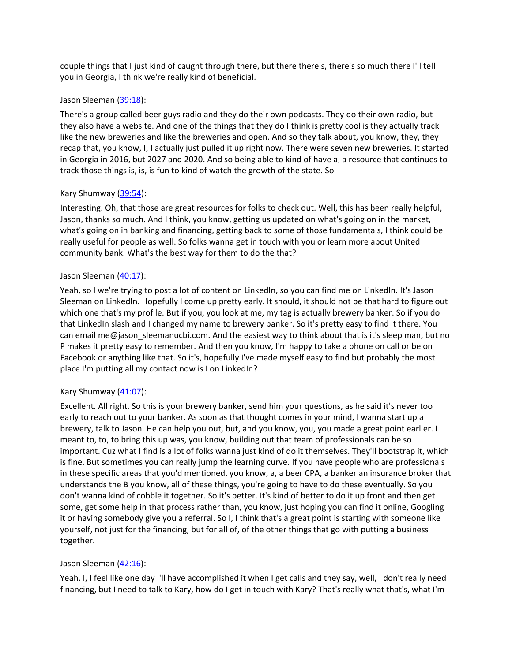couple things that I just kind of caught through there, but there there's, there's so much there I'll tell you in Georgia, I think we're really kind of beneficial.

### Jason Sleeman [\(39:18\)](https://www.temi.com/editor/t/spy4fWdecnQBK6wZ0in3eyE89vQhb_onzbwhGHzKolczY5DwXBC7gtC7xjBFSeWkPNip7c9idcwBRyMBERQAbb1Qw5Y?loadFrom=DocumentDeeplink&ts=2358.06):

There's a group called beer guys radio and they do their own podcasts. They do their own radio, but they also have a website. And one of the things that they do I think is pretty cool is they actually track like the new breweries and like the breweries and open. And so they talk about, you know, they, they recap that, you know, I, I actually just pulled it up right now. There were seven new breweries. It started in Georgia in 2016, but 2027 and 2020. And so being able to kind of have a, a resource that continues to track those things is, is, is fun to kind of watch the growth of the state. So

### Kary Shumway [\(39:54\)](https://www.temi.com/editor/t/spy4fWdecnQBK6wZ0in3eyE89vQhb_onzbwhGHzKolczY5DwXBC7gtC7xjBFSeWkPNip7c9idcwBRyMBERQAbb1Qw5Y?loadFrom=DocumentDeeplink&ts=2394.51):

Interesting. Oh, that those are great resources for folks to check out. Well, this has been really helpful, Jason, thanks so much. And I think, you know, getting us updated on what's going on in the market, what's going on in banking and financing, getting back to some of those fundamentals, I think could be really useful for people as well. So folks wanna get in touch with you or learn more about United community bank. What's the best way for them to do the that?

### Jason Sleeman [\(40:17\)](https://www.temi.com/editor/t/spy4fWdecnQBK6wZ0in3eyE89vQhb_onzbwhGHzKolczY5DwXBC7gtC7xjBFSeWkPNip7c9idcwBRyMBERQAbb1Qw5Y?loadFrom=DocumentDeeplink&ts=2417.44):

Yeah, so I we're trying to post a lot of content on LinkedIn, so you can find me on LinkedIn. It's Jason Sleeman on LinkedIn. Hopefully I come up pretty early. It should, it should not be that hard to figure out which one that's my profile. But if you, you look at me, my tag is actually brewery banker. So if you do that LinkedIn slash and I changed my name to brewery banker. So it's pretty easy to find it there. You can email me@jason\_sleemanucbi.com. And the easiest way to think about that is it's sleep man, but no P makes it pretty easy to remember. And then you know, I'm happy to take a phone on call or be on Facebook or anything like that. So it's, hopefully I've made myself easy to find but probably the most place I'm putting all my contact now is I on LinkedIn?

### Kary Shumway [\(41:07\)](https://www.temi.com/editor/t/spy4fWdecnQBK6wZ0in3eyE89vQhb_onzbwhGHzKolczY5DwXBC7gtC7xjBFSeWkPNip7c9idcwBRyMBERQAbb1Qw5Y?loadFrom=DocumentDeeplink&ts=2467.07):

Excellent. All right. So this is your brewery banker, send him your questions, as he said it's never too early to reach out to your banker. As soon as that thought comes in your mind, I wanna start up a brewery, talk to Jason. He can help you out, but, and you know, you, you made a great point earlier. I meant to, to, to bring this up was, you know, building out that team of professionals can be so important. Cuz what I find is a lot of folks wanna just kind of do it themselves. They'll bootstrap it, which is fine. But sometimes you can really jump the learning curve. If you have people who are professionals in these specific areas that you'd mentioned, you know, a, a beer CPA, a banker an insurance broker that understands the B you know, all of these things, you're going to have to do these eventually. So you don't wanna kind of cobble it together. So it's better. It's kind of better to do it up front and then get some, get some help in that process rather than, you know, just hoping you can find it online, Googling it or having somebody give you a referral. So I, I think that's a great point is starting with someone like yourself, not just for the financing, but for all of, of the other things that go with putting a business together.

### Jason Sleeman [\(42:16\)](https://www.temi.com/editor/t/spy4fWdecnQBK6wZ0in3eyE89vQhb_onzbwhGHzKolczY5DwXBC7gtC7xjBFSeWkPNip7c9idcwBRyMBERQAbb1Qw5Y?loadFrom=DocumentDeeplink&ts=2536.96):

Yeah. I, I feel like one day I'll have accomplished it when I get calls and they say, well, I don't really need financing, but I need to talk to Kary, how do I get in touch with Kary? That's really what that's, what I'm